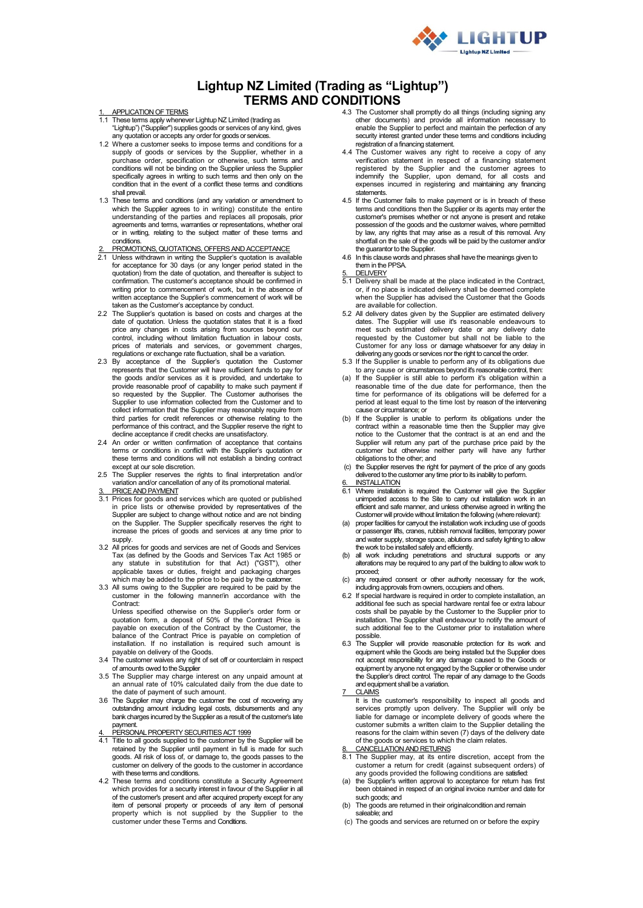

# **Lightup NZ Limited (Trading as "Lightup") TERMS AND CONDITIONS**

### APPLICATION OF TERMS

- 1.1 These terms apply whenever Lightup NZ Limited (trading as "Lightup") ("Supplier") supplies goods or services of any kind, gives any quotation or accepts any order for goods or services
- 1.2 Where a customer seeks to impose terms and conditions for a supply of goods or services by the Supplier, whether in a purchase order, specification or otherwise, such terms and conditions will not be binding on the Supplier unless the Supplier specifically agrees in writing on the supplier different specifically agrees in writing to such terms and then only on the condition that in the event of a conflict these terms and conditions shall prevail.
- 1.3 These terms and conditions (and any variation or amendment to which the Supplier agrees to in writing) constitute the entire understanding of the parties and replaces all proposals, prior agreements and terms, warranties or representations, whether oral or in writing, relating to the subject matter of these terms and conditions.
- PROMOTIONS, QUOTATIONS, OFFERS AND ACCEPTANCE
- 2.1 Unless withdrawn in writing the Supplier's quotation is available for acceptance for 30 days (or any longer period stated in the quotation) from the date of quotation, and thereafter is subject to confirmation. The customer's acceptance should be confirmed in writing prior to commencement of work, but in the absence of written acceptance the Supplier's commencement of work will be taken as the Customer's acceptance by conduct.
- 2.2 The Supplier's quotation is based on costs and charges at the date of quotation. Unless the quotation states that it is a fixed price any changes in costs arising from sources beyond our control, including without limitation fluctuation in labour costs, prices of materials and services, or government charges, regulations or exchange rate fluctuation, shall be a variation.
- 2.3 By acceptance of the Supplier's quotation the Customer represents that the Customer will have sufficient funds to pay for the goods and/or services as it is provided, and undertake to provide reasonable proof of capability to make such payment if so requested by the Supplier. The Customer authorises the<br>Supplier to use information collected from the Customer and to<br>collect information that the Supplier may reasonably require from<br>third parties for credit references performance of this contract, and the Supplier reserve the right to
- decline acceptance if credit checks are unsatisfactory. 2.4 An order or written confirmation of acceptance that contains terms or conditions in conflict with the Supplier's quotation or these terms and conditions will not establish a binding contract except at our sole discretion.
- 2.5 The Supplier reserves the rights to final interpretation and/or variation and/or cancellation of any of its promotional material. PRICE AND PAYMENT
- 3.1 Prices for goods and services which are quoted or published in price lists or otherwise provided by representatives of the Supplier are subject to change without notice and are not binding on the Supplier. The Supplier specifically reserves the right to
- increase the prices of goods and services at any time prior to supply. 3.2 All prices for goods and services are net of Goods and Services Tax (as defined by the Goods and Services Tax Act 1985 or any statute in substitution for that Act) ("GST"), other
- applicable taxes or duties, freight and packaging charges which may be added to the price to be paid by the customer. 3.3 All sums owing to the Supplier are required to be paid by the
- customer in the following manner/in accordance with the Contract: Unless specified otherwise on the Supplier's order form or

quotation form, a deposit of 50% of the Contract Price is payable on execution of the Contract by the Customer, the balance of the Contract Price is payable on completion of installation. If no installation is required such amount is payable on delivery of the Goods.

- 3.4 The customer waives any right of set off or counterclaim in respect of amounts owed to the Supplier
- 3.5 The Supplier may charge interest on any unpaid amount at an annual rate of 10% calculated daily from the due date to the date of payment of such amount.
- 3.6 The Supplier may charge the customer the cost of recovering any outstanding amount including legal costs, disbursements and any bank charges incurred by the Supplier as a result of the customer's late payment.
- 4. PERSONAL PROPERTY SECURITIES ACT 1999<br>4.1. Title to all goods supplied to the customer by the
- Title to all goods supplied to the customer by the Supplier will be retained by the Supplier until payment in full is made for such goods. All risk of loss of, or damage to, the goods passes to the customer on delivery of the goods to the customer in accordance with these terms and conditions.
- 4.2 These terms and conditions constitute a Security Agreement which provides for a security interest in favour of the Supplier in all of the customer's present and after acquired property except for any item of personal property or proceeds of any item of personal property which is not supplied by the Supplier to the customer under these Terms and Conditions.
- 4.3 The Customer shall promptly do all things (including signing any other documents) and provide all information necessary to enable the Supplier to perfect and maintain the perfection of any security interest granted under these terms and conditions including registration of a financing statement.
- 4.4 The Customer waives any right to receive a copy of any verification statement in respect of a financing statement registered by the Supplier and the customer agrees to indemnify the Supplier, upon demand, for all costs and expenses incurred in registering and maintaining any financing statements.
- 4.5 If the Customer fails to make payment or is in breach of these terms and conditions then the Supplier or its agents may enter the customer's premises whether or not anyone is present and retake possession of the goods and the customer waives, where permitted by law, any rights that may arise as a result of this removal. Any shortfall on the sale of the goods will be paid by the customer and/or the guarantor to the Supplier.
- 4.6 In this clause words and phrases shall have the meanings given to them in the PPSA.
- **DELIVERY**
- 5.1 Delivery shall be made at the place indicated in the Contract, or, if no place is indicated delivery shall be deemed complete when the Supplier has advised the Customer that the Goods are available for collection.
- 5.2 All delivery dates given by the Supplier are estimated delivery dates. The Supplier will use it's reasonable endeavours to meet such estimated delivery date or any delivery date requested by the Customer but shall not be liable to the Customer for any loss or damage whatsoever for any delay in delivering any goods or services nor the right to cancel the order.
- 5.3 If the Supplier is unable to perform any of its obligations due to any cause or circumstances beyond it's reasonable control, then:
- (a) If the Supplier is still able to perform it's obligation within a reasonable time of the due date for performance, then the time for performance of its obligations will be deferred for a period at least equal to the time lost by reason of the intervening cause or circumstance; or
- (b) If the Supplier is unable to perform its obligations under the contract within a reasonable time then the Supplier may give notice to the Customer that the contract is at an end and the Supplier will return any part of the purchase price paid by the customer but otherwise neither party will have any further obligations to the other; and
- (c) the Supplier reserves the right for payment of the price of any goods delivered to the customer any time prior to its inability to perform.
- 
- 6. INSTALLATION 6.1 Where installation is required the Customer will give the Supplier unimpeded access to the Site to carry out installation work in an efficient and safe manner, and unless otherwise agreed in writing the Customer will provide without limitation the following (where relevant):
- proper facilities for carryout the installation work including use of goods or passenger lifts, cranes, rubbish removal facilities, temporary power and water supply, storage space, ablutions and safety lighting to allow the work to be installed safely and efficiently.
- (b) all work including penetrations and structural supports or any alterations may be required to any part of the building to allow work to proceed;
- (c) any required consent or other authority necessary for the work, including approvals from owners, occupiers and others.
- 6.2 If special hardware is required in order to complete installation, an additional fee such as special hardware rental fee or extra labour costs shall be payable by the Customer to the Supplier prior to installation. The Supplier shall endeavour to notify the amount of such additional fee to the Customer prior to installation where possible.
- 6.3 The Supplier will provide reasonable protection for its work and equipment while the Goods are being installed but the Supplier does not accept responsibility for any damage caused to the Goods or equipment by anyone not engaged by the Supplier or otherwise under the Supplier's direct control. The repair of any damage to the Goods and equipment shall be a variation.
- **CLAIMS**

It is the customer's responsibility to inspect all goods and services promptly upon delivery. The Supplier will only be liable for damage or incomplete delivery of goods where the customer submits a written claim to the Supplier detailing the reasons for the claim within seven (7) days of the delivery date of the goods or services to which the claim relates.

- 
- 8. CANCELLATION AND RETURNS<br>8.1 The Supplier may, at its entire discretion, accept from the customer a return for credit (against subsequent orders) of
- any goods provided the following conditions are satisfied: (a) the Supplier's written approval to acceptance for return has first been obtained in respect of an original invoice number and date for such goods; and
- (b) The goods are returned in their originalcondition and remain saleable; and
- (c) The goods and services are returned on or before the expiry